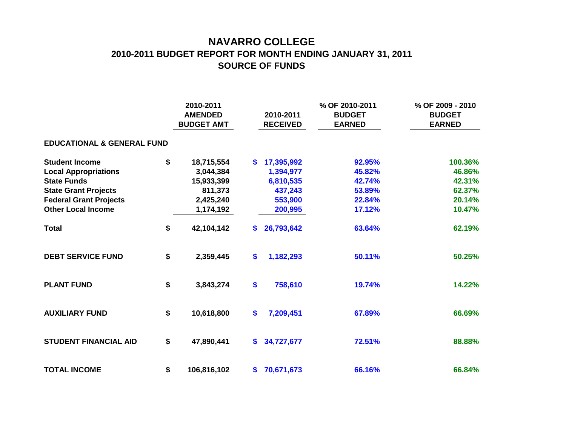## **NAVARRO COLLEGE 2010-2011 BUDGET REPORT FOR MONTH ENDING JANUARY 31, 2011 SOURCE OF FUNDS**

|                                       | 2010-2011<br><b>AMENDED</b><br><b>BUDGET AMT</b> |             |    | 2010-2011<br><b>RECEIVED</b> | % OF 2010-2011<br><b>BUDGET</b><br><b>EARNED</b> | % OF 2009 - 2010<br><b>BUDGET</b><br><b>EARNED</b> |  |  |  |  |  |  |  |
|---------------------------------------|--------------------------------------------------|-------------|----|------------------------------|--------------------------------------------------|----------------------------------------------------|--|--|--|--|--|--|--|
| <b>EDUCATIONAL &amp; GENERAL FUND</b> |                                                  |             |    |                              |                                                  |                                                    |  |  |  |  |  |  |  |
| <b>Student Income</b>                 | \$                                               | 18,715,554  | \$ | 17,395,992                   | 92.95%                                           | 100.36%                                            |  |  |  |  |  |  |  |
| <b>Local Appropriations</b>           |                                                  | 3,044,384   |    | 1,394,977                    | 45.82%                                           | 46.86%                                             |  |  |  |  |  |  |  |
| <b>State Funds</b>                    |                                                  | 15,933,399  |    | 6,810,535                    | 42.74%                                           | 42.31%                                             |  |  |  |  |  |  |  |
| <b>State Grant Projects</b>           |                                                  | 811,373     |    | 437,243                      | 53.89%                                           | 62.37%                                             |  |  |  |  |  |  |  |
| <b>Federal Grant Projects</b>         |                                                  | 2,425,240   |    | 553,900                      | 22.84%                                           | 20.14%                                             |  |  |  |  |  |  |  |
| <b>Other Local Income</b>             |                                                  | 1,174,192   |    | 200,995                      | 17.12%                                           | 10.47%                                             |  |  |  |  |  |  |  |
| <b>Total</b>                          | \$                                               | 42,104,142  | S. | 26,793,642                   | 63.64%                                           | 62.19%                                             |  |  |  |  |  |  |  |
| <b>DEBT SERVICE FUND</b>              | \$                                               | 2,359,445   | \$ | 1,182,293                    | 50.11%                                           | 50.25%                                             |  |  |  |  |  |  |  |
| <b>PLANT FUND</b>                     | \$                                               | 3,843,274   | \$ | 758,610                      | 19.74%                                           | 14.22%                                             |  |  |  |  |  |  |  |
| <b>AUXILIARY FUND</b>                 | \$                                               | 10,618,800  | \$ | 7,209,451                    | 67.89%                                           | 66.69%                                             |  |  |  |  |  |  |  |
| <b>STUDENT FINANCIAL AID</b>          | \$                                               | 47,890,441  | \$ | 34,727,677                   | 72.51%                                           | 88.88%                                             |  |  |  |  |  |  |  |
| <b>TOTAL INCOME</b>                   | \$                                               | 106,816,102 | S. | 70,671,673                   | 66.16%                                           | 66.84%                                             |  |  |  |  |  |  |  |